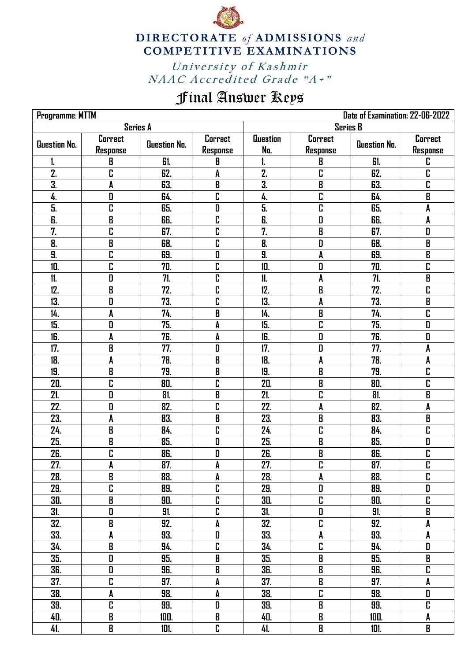

**DIRECTORATE** of **ADMISSIONS** and **COMPETITIVE EXAMINATIONS**

University of Kashmir NAAC Accredited Grade "A+"

## Final Answer Keys

| Date of Examination: 22-06-2022<br>Programme: MTTM |                         |              |                                           |                  |                         |              |                           |  |
|----------------------------------------------------|-------------------------|--------------|-------------------------------------------|------------------|-------------------------|--------------|---------------------------|--|
| <b>Series A</b>                                    |                         |              |                                           | <b>Series B</b>  |                         |              |                           |  |
|                                                    | Correct                 | Question No. | Correct                                   | <b>Question</b>  | Correct                 |              | Correct                   |  |
| Question No.                                       | Response                |              | Response                                  | No.              | Response                | Question No. | Response                  |  |
| 1.                                                 | B                       | 61.          | B                                         | 1.               | B                       | 61.          | C                         |  |
| 2.                                                 | C                       | 62.          | A                                         | $\overline{2}$ . | C                       | 62.          | C                         |  |
| 3.                                                 | A                       | 63.          | $\boldsymbol{\mathsf{B}}$                 | $\overline{3}$ . | B                       | 63.          | $\overline{\mathbf{r}}$   |  |
| 4.                                                 | D                       | 64.          | C                                         | 4.               | C                       | 64.          | B                         |  |
| 5.                                                 | C                       | 65.          | D                                         | 5.               | C                       | 65.          | A                         |  |
| $\overline{\mathbf{b}}$                            | B                       | 66.          | C                                         | 6.               | D                       | 66.          | A                         |  |
| 7.                                                 | C                       | 67.          | C                                         | 7.               | B                       | 67.          | D                         |  |
| 8.                                                 | B                       | 68.          | C                                         | 8.               | D                       | 68.          | $\overline{\mathbf{B}}$   |  |
| 9.                                                 | $\overline{\mathbf{c}}$ | 69.          | $\mathbf{D}$                              | 9.               | A                       | 69.          | $\overline{\mathbf{B}}$   |  |
| 10.                                                | $\overline{\mathsf{L}}$ | 70.          | C                                         | 10.              | D                       | 70.          | $\overline{\mathbf{r}}$   |  |
| 11.                                                | D                       | 71.          | C                                         | 11.              | A                       | 71.          | $\overline{\mathbf{B}}$   |  |
| 12.                                                | B                       | 72.          | C                                         | 12.              | B                       | 72.          | C                         |  |
| 13.                                                | D                       | 73.          | C                                         | 13.              | A                       | 73.          | $\overline{\mathbf{B}}$   |  |
| 14.                                                | A                       | 74.          | $\boldsymbol{\mathsf{B}}$                 | 14.              | B                       | 74.          | $\overline{\mathbf{r}}$   |  |
| 15.                                                | D                       | 75.          | A                                         | 15.              | C                       | 75.          | $\overline{\mathbf{D}}$   |  |
| 16.                                                | A                       | 76.          | A                                         | 16.              | D                       | 76.          | D                         |  |
| 17.                                                | B                       | 77.          | D                                         | 17.              | D                       | 77.          | A                         |  |
| 18.                                                | A                       | 78.          | $\mathbf B$                               | 18.              | A                       | 78.          | A                         |  |
| 19.                                                | B                       | 79.          | B                                         | 19.              | B                       | 79.          | C                         |  |
| 20.                                                | C                       | 80.          | C                                         | 20.              | B                       | 80.          | $\overline{\mathbf{r}}$   |  |
| 21.                                                | D                       | 81.          | B                                         | 21.              | C                       | 81.          | B                         |  |
| 22.                                                | D                       | 82.          | C                                         | 22.              | A                       | 82.          | A                         |  |
| 23.                                                | A                       | 83.          | B                                         | 23.              | B                       | 83.          | $\overline{\mathbf{B}}$   |  |
| 24.                                                | B                       | 84.          | C                                         | 24.              | C                       | 84.          | $\overline{\mathbf{c}}$   |  |
| 25.                                                | B                       | 85.          | D                                         | 25.              | B                       | 85.          | D                         |  |
| 26.                                                | C                       | 86.          | D                                         | 26.              | B                       | 86.          | $\overline{\mathbf{r}}$   |  |
| 27.                                                | A                       | 87.          | A                                         | 27.              | C                       | 87.          | C                         |  |
| 28.                                                | $\overline{\mathbf{B}}$ | 88.          | A                                         | 28.              | A                       | 88.          | $\overline{\mathbf{r}}$   |  |
| 29.                                                | C                       | 89.          | $\mathbf{r}$                              | 29.              | D                       | 89.          | $\pmb{\mathsf{D}}$        |  |
| 30.                                                | $\, {\bf B}$            | 90.          | C                                         | 30.              | C                       | 90.          | C                         |  |
| 31.                                                | $\pmb{\mathsf{D}}$      | 91.          | $\mathbf{r}$                              | 31.              | D                       | 91.          | $\overline{\mathbf{B}}$   |  |
| 32.                                                | $\overline{\mathbf{B}}$ | 92.          | A                                         | 32.              | C                       | 92.          | $\pmb{\mathsf{A}}$        |  |
| 33.                                                | A                       | 93.          | D                                         | 33.              | A                       | 93.          | $\pmb{\mathsf{A}}$        |  |
| 34.                                                | $\overline{\mathbf{B}}$ | 94.          | $\overline{\mathbf{r}}$                   | 34.              | C                       | 94.          | D                         |  |
| 35.                                                | D                       | 95.          | B                                         | 35.              | B                       | 95.          | $\boldsymbol{\mathsf{B}}$ |  |
| 36.                                                | $\pmb{\mathsf{D}}$      | 96.          | B                                         | 36.              | B                       | 96.          | $\overline{\mathbf{r}}$   |  |
| 37.                                                | $\mathbf{r}$            | 97.          | A                                         | 37.              | B                       | 97.          | A                         |  |
| 38.                                                | A                       | 98.          | A                                         | 38.              | C                       | 98.          | $\pmb{\mathsf{D}}$        |  |
| 39.                                                | C                       | 99.          | $\begin{array}{c} \textbf{D} \end{array}$ | 39.              | B                       | 99.          | C                         |  |
| 40.                                                | $\overline{\mathbf{B}}$ | 100.         | $\, {\bf B}$                              | 40.              | $\overline{\mathbf{B}}$ | 100.         | $\pmb{\mathsf{A}}$        |  |
| 41.                                                | $\pmb B$                | 101.         | $\mathbf{r}$                              | 41.              | B                       | 101.         | $\pmb B$                  |  |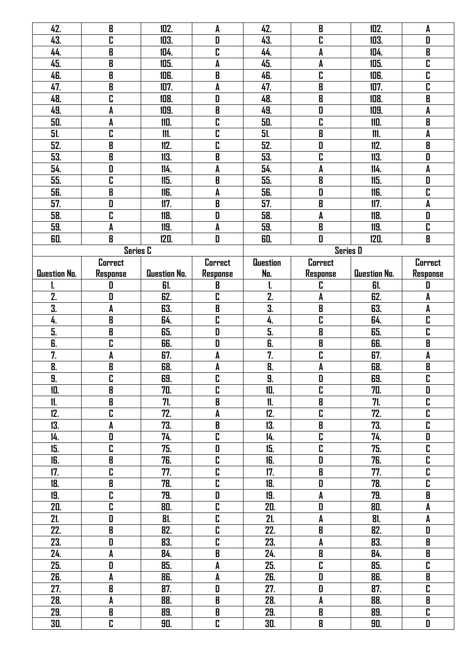| 42.          | $\pmb B$                                  | 102.         | A                                         | 42.                       | B                                         | 102.         | A                       |
|--------------|-------------------------------------------|--------------|-------------------------------------------|---------------------------|-------------------------------------------|--------------|-------------------------|
| 43.          | C                                         | 103.         | D                                         | 43.                       | C                                         | 103.         | D                       |
| 44.          | B                                         | 104.         | C                                         | 44.                       | A                                         | 104.         | B                       |
| 45.          | B                                         | 105.         | A                                         | 45.                       | A                                         | 105.         | C                       |
| 46.          | $\pmb B$                                  | 106.         | $\boldsymbol{\mathsf{B}}$                 | 46.                       | C                                         | 106.         | C                       |
| 47.          | B                                         | 107.         | A                                         | 47.                       | B                                         | 107.         | $\overline{\mathbf{r}}$ |
| 48.          | C                                         | 108.         | D                                         | 48.                       | B                                         | 108.         | B                       |
| 49.          | A                                         | 109.         | B                                         | 49.                       | D                                         | 109.         | A                       |
| 50.          | A                                         | 110.         | C                                         | 50.                       | C                                         | 110.         | B                       |
| 51.          | C                                         | 111.         | C                                         | 51.                       | B                                         | 111.         | A                       |
| 52.          | B                                         | 112.         | C                                         | 52.                       | D                                         | 112.         | $\overline{\mathbf{B}}$ |
| 53.          | B                                         | 113.         | B                                         | 53.                       | C                                         | 113.         | D                       |
| 54.          | D                                         | 114.         | A                                         | 54.                       | A                                         | 114.         | A                       |
| 55.          | C                                         | 115.         | B                                         | 55.                       | B                                         | 115.         | D                       |
| 56.          | $\pmb B$                                  | 116.         | A                                         | 56.                       | D                                         | 116.         | C                       |
| 57.          | D                                         | 117.         | $\overline{B}$                            | 57.                       | B                                         | 117.         | A                       |
| 58.          | $\overline{\mathbf{c}}$                   | 118.         | D                                         | 58.                       | A                                         | 118.         | $\overline{\mathsf{D}}$ |
| 59.          | A                                         | 119.         | A                                         | 59.                       | B                                         | 119.         | C                       |
| 60.          | $\mathbf B$                               | 120.         | D                                         | 60.                       | D                                         | 120.         | B                       |
|              |                                           |              |                                           |                           |                                           |              |                         |
|              | <b>Series C</b>                           |              |                                           |                           | <b>Series D</b>                           |              |                         |
|              | Correct                                   |              | <b>Correct</b>                            | <b>Question</b>           | Correct                                   |              | Correct                 |
| Question No. | Response                                  | Question No. | Response                                  | No.                       | <b>Response</b>                           | Question No. | <b>Response</b>         |
| ı.           | D                                         | 61.          | B                                         | 1.                        | C                                         | 61.          | D                       |
| 2.           | D                                         | 62.          | C                                         | 2.                        | A                                         | 62.          | A                       |
| 3.           | A                                         | 63.          | $\boldsymbol{\mathsf{B}}$                 | $\overline{\mathbf{3}}$ . | B                                         | 63.          | A                       |
| 4.           | $\pmb B$                                  | 64.          | $\overline{\mathbf{c}}$                   | 4.                        | C                                         | 64.          | $\overline{\mathbf{r}}$ |
| 5.           | B                                         | 65.          | D                                         | $\overline{5}$ .          | B                                         | 65.          | C                       |
| 6.           | C                                         | 66.          | D                                         | 6.                        | B                                         | 66.          | B                       |
| 7.           | A                                         | 67.          | A                                         | 7.                        | C                                         | 67.          | A                       |
| 8.           | B                                         | 68.          | A                                         | 8.                        | A                                         | 68.          | B                       |
| 9.           | C                                         | 69.          | C                                         | 9.                        | D                                         | 69.          | C                       |
| 10.          | $\overline{\mathbf{B}}$                   | 70.          | $\overline{\mathbf{r}}$                   | 10.                       | $\overline{\mathbf{r}}$                   | 70.          | D                       |
| 11.          | $\, {\bf B} \,$                           | 71.          | $\pmb B$                                  | 11.                       | $\pmb B$                                  | 71.          | C                       |
| 12.          | C                                         | 72.          | $\pmb{\mathsf{A}}$                        | 12.                       | $\overline{\mathbf{r}}$                   | 72.          | $\overline{\mathbf{r}}$ |
| 13.          | A                                         | 73.          | $\pmb B$                                  | 13.                       | $\pmb B$                                  | 73.          | $\overline{\mathbf{r}}$ |
| 14.          | D                                         | 74.          | $\mathbf{r}$                              | 14.                       | $\overline{\mathbf{r}}$                   | 74.          | D                       |
| 15.          | $\overline{\mathbf{c}}$                   | 75.          | $\begin{array}{c} \textbf{D} \end{array}$ | 15.                       | C                                         | 75.          | $\overline{\mathbf{r}}$ |
| 16.          | $\overline{\mathbf{B}}$                   | 76.          | $\overline{\mathbf{r}}$                   | 16.                       | $\begin{array}{c} \textbf{D} \end{array}$ | 76.          | $\overline{\mathbf{r}}$ |
| 17.          | C                                         | 77.          | $\overline{\mathbf{r}}$                   | 17.                       | $\overline{\mathbf{B}}$                   | 77.          | $\overline{\mathbf{c}}$ |
| 18.          | B                                         | 78.          | C                                         | 18.                       | D                                         | 78.          | C                       |
| 19.          | C                                         | 79.          | D                                         | 19.                       | A                                         | 79.          | B                       |
| 20.          | C                                         | 80.          | $\mathbf{r}$                              | 20.                       | $\pmb{\mathsf{D}}$                        | 80.          | $\pmb{\mathsf{A}}$      |
| 21.          | D                                         | 81.          | C                                         | 21.                       | A                                         | 81.          | A                       |
| 22.          | $\overline{\mathbf{B}}$                   | 82.          | $\overline{\mathbf{r}}$                   | 22.                       | $\overline{\mathbf{B}}$                   | 82.          | $\overline{\mathbf{D}}$ |
| 23.          | D                                         | 83.          | $\mathbf{r}$                              | 23.                       | A                                         | 83.          | $\, {\bf B}$            |
| 24.          | A                                         | 84.          | $\pmb B$                                  | 24.                       | $\pmb B$                                  | 84.          | $\, {\bf B}$            |
| 25.          | $\begin{array}{c} \textbf{D} \end{array}$ | 85.          | $\pmb{\mathsf{A}}$                        | 25.                       | C                                         | 85.          | $\overline{\mathbf{r}}$ |
| 26.          | A                                         | 86.          | A                                         | 26.                       | $\begin{array}{c} \textbf{D} \end{array}$ | 86.          | B                       |
| 27.          | $\pmb B$                                  | 87.          | $\begin{array}{c} \textbf{D} \end{array}$ | 27.                       | D                                         | 87.          | C                       |
| 28.          | A                                         | 88.          | $\, {\bf B}$                              | 28.                       | $\pmb{\mathsf{A}}$                        | 88.          | B                       |
| 29.          | $\, {\bf B}$                              | 89.          | $\pmb B$                                  | 29.                       | $\pmb B$                                  | 89.          | C                       |
|              | C                                         |              | C                                         |                           | $\pmb B$                                  |              |                         |
| 30.          |                                           | 90.          |                                           | 30.                       |                                           | 90.          | D                       |